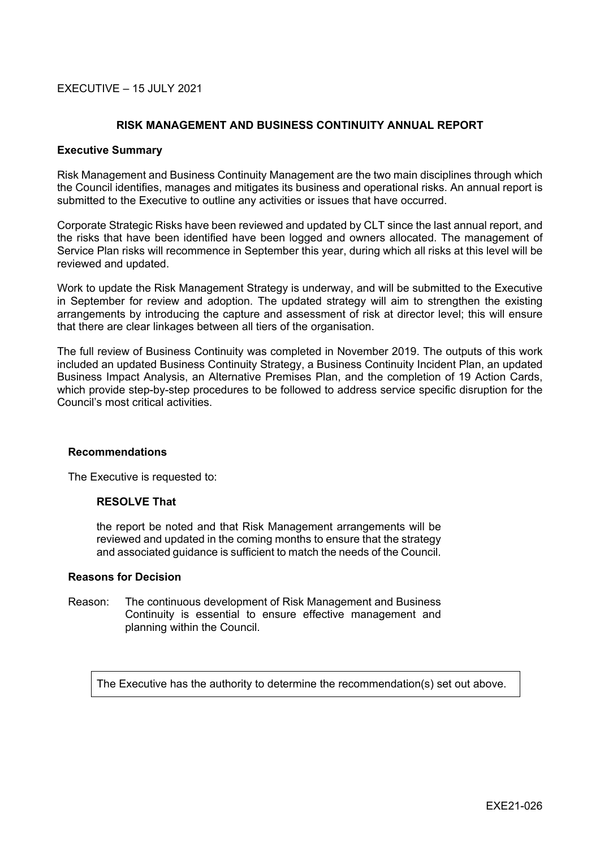## $EXFCUTIVE = 15$  JULY 2021

## **RISK MANAGEMENT AND BUSINESS CONTINUITY ANNUAL REPORT**

#### **Executive Summary**

Risk Management and Business Continuity Management are the two main disciplines through which the Council identifies, manages and mitigates its business and operational risks. An annual report is submitted to the Executive to outline any activities or issues that have occurred.

Corporate Strategic Risks have been reviewed and updated by CLT since the last annual report, and the risks that have been identified have been logged and owners allocated. The management of Service Plan risks will recommence in September this year, during which all risks at this level will be reviewed and updated.

Work to update the Risk Management Strategy is underway, and will be submitted to the Executive in September for review and adoption. The updated strategy will aim to strengthen the existing arrangements by introducing the capture and assessment of risk at director level; this will ensure that there are clear linkages between all tiers of the organisation.

The full review of Business Continuity was completed in November 2019. The outputs of this work included an updated Business Continuity Strategy, a Business Continuity Incident Plan, an updated Business Impact Analysis, an Alternative Premises Plan, and the completion of 19 Action Cards, which provide step-by-step procedures to be followed to address service specific disruption for the Council's most critical activities.

#### **Recommendations**

The Executive is requested to:

### **RESOLVE That**

the report be noted and that Risk Management arrangements will be reviewed and updated in the coming months to ensure that the strategy and associated guidance is sufficient to match the needs of the Council.

#### **Reasons for Decision**

Reason: The continuous development of Risk Management and Business Continuity is essential to ensure effective management and planning within the Council.

The Executive has the authority to determine the recommendation(s) set out above.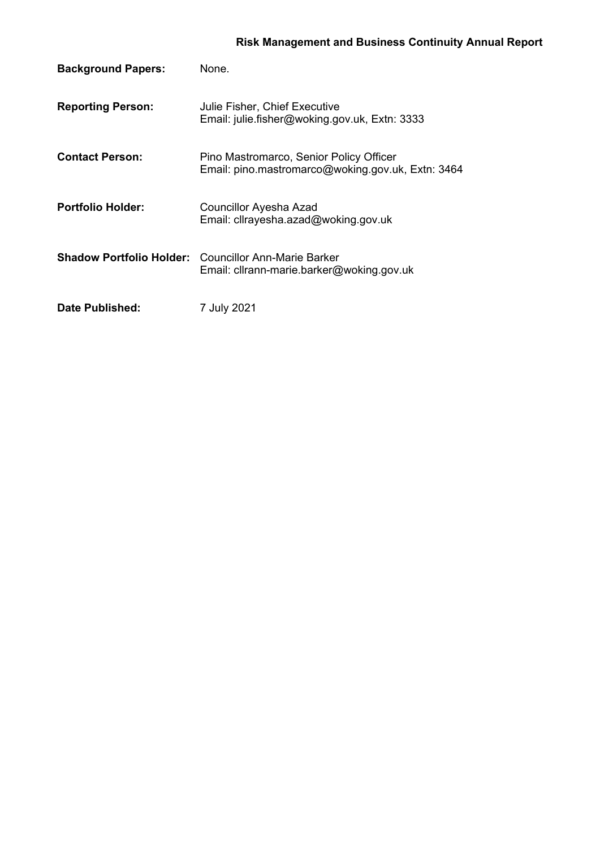# **Risk Management and Business Continuity Annual Report**

| <b>Background Papers:</b> | None.                                                                                                    |
|---------------------------|----------------------------------------------------------------------------------------------------------|
| <b>Reporting Person:</b>  | Julie Fisher, Chief Executive<br>Email: julie.fisher@woking.gov.uk, Extn: 3333                           |
| <b>Contact Person:</b>    | Pino Mastromarco, Senior Policy Officer<br>Email: pino.mastromarco@woking.gov.uk, Extn: 3464             |
| <b>Portfolio Holder:</b>  | Councillor Ayesha Azad<br>Email: cllrayesha.azad@woking.gov.uk                                           |
|                           | <b>Shadow Portfolio Holder:</b> Councillor Ann-Marie Barker<br>Email: cllrann-marie.barker@woking.gov.uk |
| Date Published:           | 7 July 2021                                                                                              |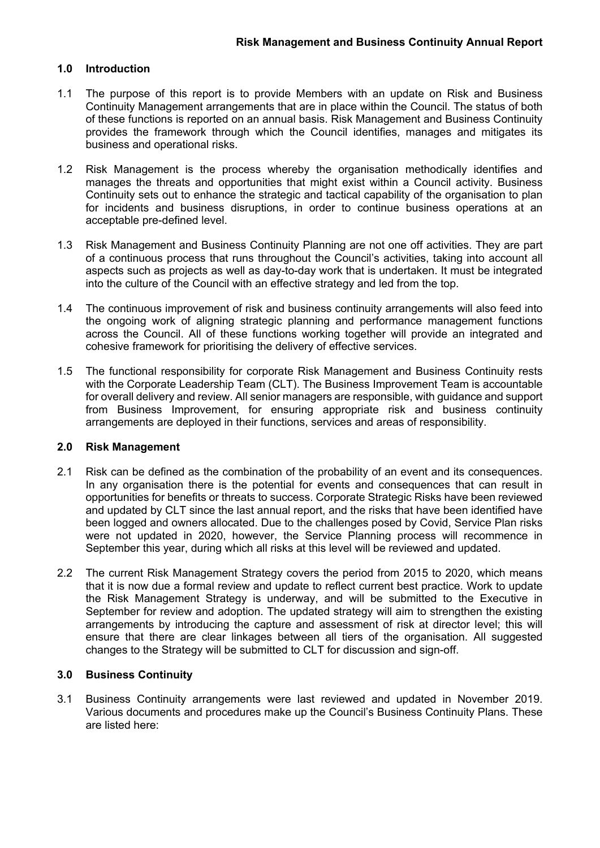## **1.0 Introduction**

- 1.1 The purpose of this report is to provide Members with an update on Risk and Business Continuity Management arrangements that are in place within the Council. The status of both of these functions is reported on an annual basis. Risk Management and Business Continuity provides the framework through which the Council identifies, manages and mitigates its business and operational risks.
- 1.2 Risk Management is the process whereby the organisation methodically identifies and manages the threats and opportunities that might exist within a Council activity. Business Continuity sets out to enhance the strategic and tactical capability of the organisation to plan for incidents and business disruptions, in order to continue business operations at an acceptable pre-defined level.
- 1.3 Risk Management and Business Continuity Planning are not one off activities. They are part of a continuous process that runs throughout the Council's activities, taking into account all aspects such as projects as well as day-to-day work that is undertaken. It must be integrated into the culture of the Council with an effective strategy and led from the top.
- 1.4 The continuous improvement of risk and business continuity arrangements will also feed into the ongoing work of aligning strategic planning and performance management functions across the Council. All of these functions working together will provide an integrated and cohesive framework for prioritising the delivery of effective services.
- 1.5 The functional responsibility for corporate Risk Management and Business Continuity rests with the Corporate Leadership Team (CLT). The Business Improvement Team is accountable for overall delivery and review. All senior managers are responsible, with guidance and support from Business Improvement, for ensuring appropriate risk and business continuity arrangements are deployed in their functions, services and areas of responsibility.

#### **2.0 Risk Management**

- 2.1 Risk can be defined as the combination of the probability of an event and its consequences. In any organisation there is the potential for events and consequences that can result in opportunities for benefits or threats to success. Corporate Strategic Risks have been reviewed and updated by CLT since the last annual report, and the risks that have been identified have been logged and owners allocated. Due to the challenges posed by Covid, Service Plan risks were not updated in 2020, however, the Service Planning process will recommence in September this year, during which all risks at this level will be reviewed and updated.
- 2.2 The current Risk Management Strategy covers the period from 2015 to 2020, which means that it is now due a formal review and update to reflect current best practice. Work to update the Risk Management Strategy is underway, and will be submitted to the Executive in September for review and adoption. The updated strategy will aim to strengthen the existing arrangements by introducing the capture and assessment of risk at director level; this will ensure that there are clear linkages between all tiers of the organisation. All suggested changes to the Strategy will be submitted to CLT for discussion and sign-off.

## **3.0 Business Continuity**

3.1 Business Continuity arrangements were last reviewed and updated in November 2019. Various documents and procedures make up the Council's Business Continuity Plans. These are listed here: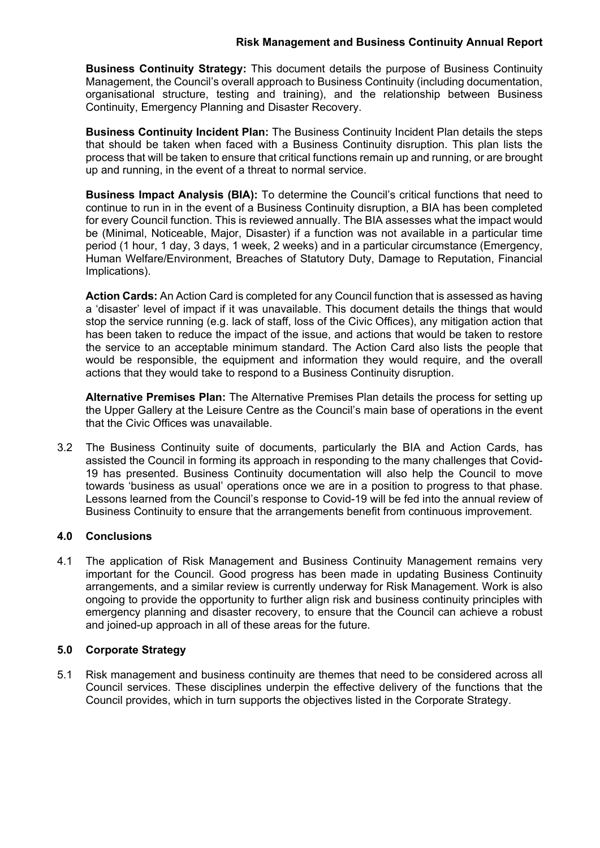## **Risk Management and Business Continuity Annual Report**

**Business Continuity Strategy:** This document details the purpose of Business Continuity Management, the Council's overall approach to Business Continuity (including documentation, organisational structure, testing and training), and the relationship between Business Continuity, Emergency Planning and Disaster Recovery.

**Business Continuity Incident Plan:** The Business Continuity Incident Plan details the steps that should be taken when faced with a Business Continuity disruption. This plan lists the process that will be taken to ensure that critical functions remain up and running, or are brought up and running, in the event of a threat to normal service.

**Business Impact Analysis (BIA):** To determine the Council's critical functions that need to continue to run in in the event of a Business Continuity disruption, a BIA has been completed for every Council function. This is reviewed annually. The BIA assesses what the impact would be (Minimal, Noticeable, Major, Disaster) if a function was not available in a particular time period (1 hour, 1 day, 3 days, 1 week, 2 weeks) and in a particular circumstance (Emergency, Human Welfare/Environment, Breaches of Statutory Duty, Damage to Reputation, Financial Implications).

**Action Cards:** An Action Card is completed for any Council function that is assessed as having a 'disaster' level of impact if it was unavailable. This document details the things that would stop the service running (e.g. lack of staff, loss of the Civic Offices), any mitigation action that has been taken to reduce the impact of the issue, and actions that would be taken to restore the service to an acceptable minimum standard. The Action Card also lists the people that would be responsible, the equipment and information they would require, and the overall actions that they would take to respond to a Business Continuity disruption.

**Alternative Premises Plan:** The Alternative Premises Plan details the process for setting up the Upper Gallery at the Leisure Centre as the Council's main base of operations in the event that the Civic Offices was unavailable.

3.2 The Business Continuity suite of documents, particularly the BIA and Action Cards, has assisted the Council in forming its approach in responding to the many challenges that Covid-19 has presented. Business Continuity documentation will also help the Council to move towards 'business as usual' operations once we are in a position to progress to that phase. Lessons learned from the Council's response to Covid-19 will be fed into the annual review of Business Continuity to ensure that the arrangements benefit from continuous improvement.

## **4.0 Conclusions**

4.1 The application of Risk Management and Business Continuity Management remains very important for the Council. Good progress has been made in updating Business Continuity arrangements, and a similar review is currently underway for Risk Management. Work is also ongoing to provide the opportunity to further align risk and business continuity principles with emergency planning and disaster recovery, to ensure that the Council can achieve a robust and joined-up approach in all of these areas for the future.

## **5.0 Corporate Strategy**

5.1 Risk management and business continuity are themes that need to be considered across all Council services. These disciplines underpin the effective delivery of the functions that the Council provides, which in turn supports the objectives listed in the Corporate Strategy.